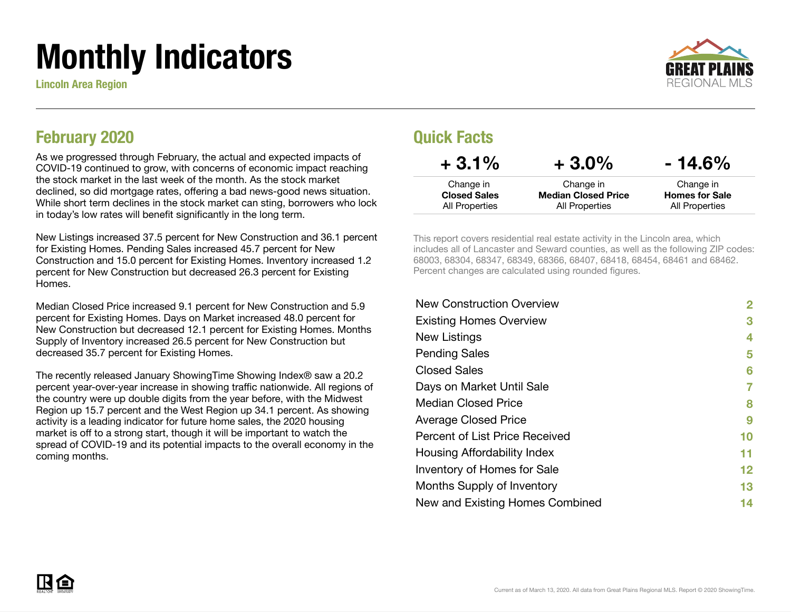# Monthly Indicators

Lincoln Area Region



#### February 2020

As we progressed through February, the actual and expected impacts of COVID-19 continued to grow, with concerns of economic impact reaching the stock market in the last week of the month. As the stock market declined, so did mortgage rates, offering a bad news-good news situation. While short term declines in the stock market can sting, borrowers who lock in today's low rates will benefit significantly in the long term.

New Listings increased 37.5 percent for New Construction and 36.1 percent for Existing Homes. Pending Sales increased 45.7 percent for New Construction and 15.0 percent for Existing Homes. Inventory increased 1.2 percent for New Construction but decreased 26.3 percent for Existing Homes.

Median Closed Price increased 9.1 percent for New Construction and 5.9 percent for Existing Homes. Days on Market increased 48.0 percent for New Construction but decreased 12.1 percent for Existing Homes. Months Supply of Inventory increased 26.5 percent for New Construction but decreased 35.7 percent for Existing Homes.

The recently released January ShowingTime Showing Index® saw a 20.2 percent year-over-year increase in showing traffic nationwide. All regions of the country were up double digits from the year before, with the Midwest Region up 15.7 percent and the West Region up 34.1 percent. As showing activity is a leading indicator for future home sales, the 2020 housing market is off to a strong start, though it will be important to watch the spread of COVID-19 and its potential impacts to the overall economy in the coming months.

#### Quick Facts

| $+3.1%$             | $+3.0\%$                   | $-14.6%$              |
|---------------------|----------------------------|-----------------------|
| Change in           | Change in                  | Change in             |
| <b>Closed Sales</b> | <b>Median Closed Price</b> | <b>Homes for Sale</b> |
| All Properties      | All Properties             | All Properties        |

This report covers residential real estate activity in the Lincoln area, which includes all of Lancaster and Seward counties, as well as the following ZIP codes: 68003, 68304, 68347, 68349, 68366, 68407, 68418, 68454, 68461 and 68462. Percent changes are calculated using rounded figures.

| <b>New Construction Overview</b> | 2  |
|----------------------------------|----|
| <b>Existing Homes Overview</b>   | 3  |
| New Listings                     | 4  |
| <b>Pending Sales</b>             | 5  |
| <b>Closed Sales</b>              | 6  |
| Days on Market Until Sale        | 7  |
| <b>Median Closed Price</b>       | 8  |
| <b>Average Closed Price</b>      | 9  |
| Percent of List Price Received   | 10 |
| Housing Affordability Index      | 11 |
| Inventory of Homes for Sale      | 12 |
| Months Supply of Inventory       | 13 |
| New and Existing Homes Combined  | 14 |
|                                  |    |

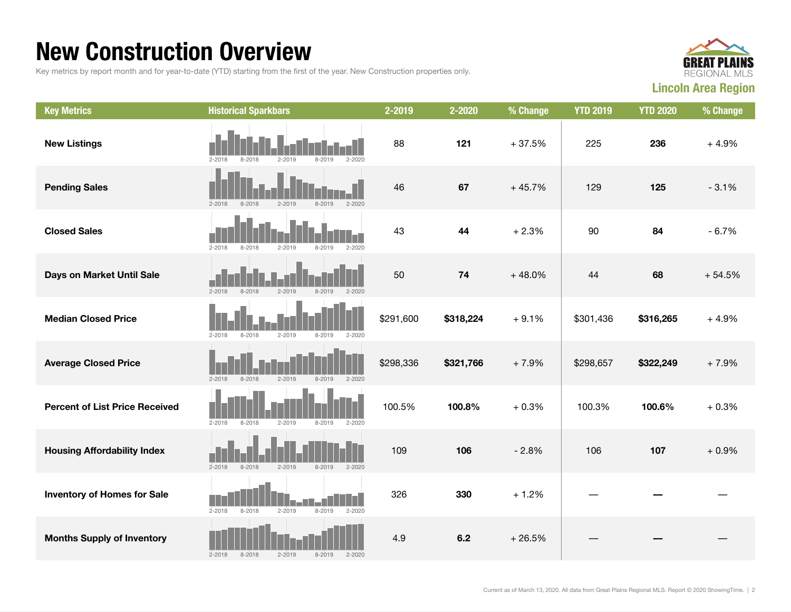#### New Construction Overview

Key metrics by report month and for year-to-date (YTD) starting from the first of the year. New Construction properties only.



| <b>Key Metrics</b>                    | <b>Historical Sparkbars</b>                                        | 2-2019    | 2-2020    | % Change | <b>YTD 2019</b> | <b>YTD 2020</b> | % Change |
|---------------------------------------|--------------------------------------------------------------------|-----------|-----------|----------|-----------------|-----------------|----------|
| <b>New Listings</b>                   | $2 - 2018$<br>$2 - 2019$<br>8-2019<br>$2 - 2020$<br>8-2018         | 88        | 121       | $+37.5%$ | 225             | 236             | $+4.9%$  |
| <b>Pending Sales</b>                  | $2 - 2019$<br>$2 - 2020$<br>$2 - 2018$<br>$8 - 2018$<br>$8 - 2019$ | 46        | 67        | $+45.7%$ | 129             | 125             | $-3.1%$  |
| <b>Closed Sales</b>                   | $2 - 2020$<br>$2 - 2018$<br>$8 - 2018$<br>$2 - 2019$<br>$8 - 2019$ | 43        | 44        | $+2.3%$  | 90              | 84              | $-6.7%$  |
| Days on Market Until Sale             | $2 - 2018$<br>$8 - 2018$<br>$2 - 2019$<br>8-2019<br>$2 - 2020$     | 50        | 74        | $+48.0%$ | 44              | 68              | $+54.5%$ |
| <b>Median Closed Price</b>            | $2 - 2019$<br>$2 - 2018$<br>$8 - 2018$<br>$8 - 2019$<br>$2 - 2020$ | \$291,600 | \$318,224 | $+9.1%$  | \$301,436       | \$316,265       | $+4.9%$  |
| <b>Average Closed Price</b>           | $2 - 2018$<br>$8 - 2018$<br>$2 - 2019$<br>8-2019<br>$2 - 2020$     | \$298,336 | \$321,766 | $+7.9%$  | \$298,657       | \$322,249       | $+7.9%$  |
| <b>Percent of List Price Received</b> | $2 - 2018$<br>$8 - 2018$<br>$2 - 2019$<br>$8 - 2019$<br>$2 - 2020$ | 100.5%    | 100.8%    | $+0.3%$  | 100.3%          | 100.6%          | $+0.3%$  |
| <b>Housing Affordability Index</b>    | $2 - 2018$<br>$8 - 2018$<br>$2 - 2019$<br>$8 - 2019$<br>$2 - 2020$ | 109       | 106       | $-2.8%$  | 106             | 107             | $+0.9%$  |
| <b>Inventory of Homes for Sale</b>    | $2 - 2019$<br>$8 - 2019$<br>$2 - 2020$<br>$2 - 2018$<br>$8 - 2018$ | 326       | 330       | $+1.2%$  |                 |                 |          |
| <b>Months Supply of Inventory</b>     | $2 - 2018$<br>$8 - 2018$<br>$2 - 2019$<br>8-2019<br>$2 - 2020$     | 4.9       | 6.2       | $+26.5%$ |                 |                 |          |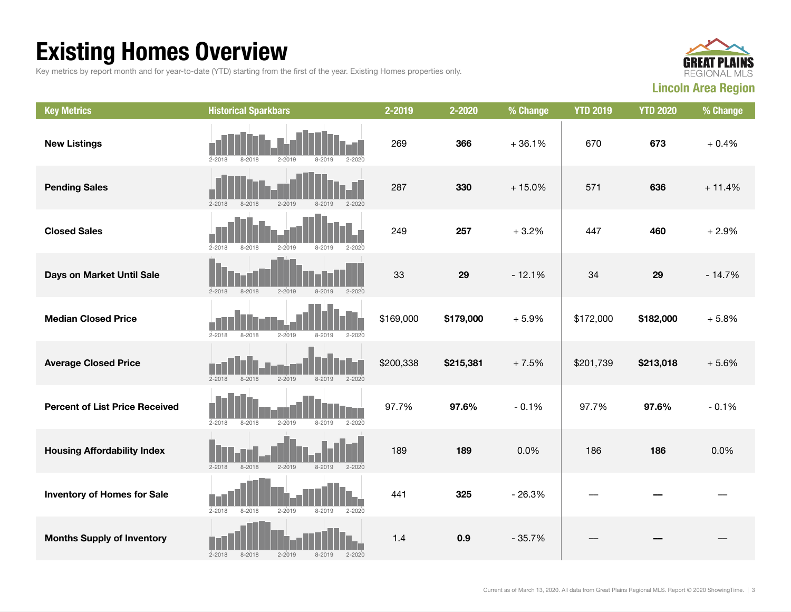## Existing Homes Overview

Key metrics by report month and for year-to-date (YTD) starting from the first of the year. Existing Homes properties only.



| <b>Key Metrics</b>                    | <b>Historical Sparkbars</b>                                        | 2-2019    | 2-2020    | % Change | <b>YTD 2019</b> | <b>YTD 2020</b> | % Change |
|---------------------------------------|--------------------------------------------------------------------|-----------|-----------|----------|-----------------|-----------------|----------|
| <b>New Listings</b>                   | $2 - 2018$<br>$8 - 2018$<br>$2 - 2019$<br>8-2019<br>$2 - 2020$     | 269       | 366       | $+36.1%$ | 670             | 673             | $+0.4%$  |
| <b>Pending Sales</b>                  | $2 - 2018$<br>$8 - 2018$<br>$2 - 2019$<br>$8 - 2019$<br>$2 - 2020$ | 287       | 330       | $+15.0%$ | 571             | 636             | $+11.4%$ |
| <b>Closed Sales</b>                   | $2 - 2018$<br>$8 - 2018$<br>$2 - 2019$<br>$8 - 2019$<br>$2 - 2020$ | 249       | 257       | $+3.2%$  | 447             | 460             | $+2.9%$  |
| Days on Market Until Sale             | $8 - 2018$<br>$2 - 2019$<br>$2 - 2020$<br>$2 - 2018$<br>$8 - 2019$ | 33        | 29        | $-12.1%$ | 34              | 29              | $-14.7%$ |
| <b>Median Closed Price</b>            | $2 - 2018$<br>$8 - 2018$<br>$2 - 2019$<br>$8 - 2019$<br>$2 - 2020$ | \$169,000 | \$179,000 | $+5.9%$  | \$172,000       | \$182,000       | $+5.8%$  |
| <b>Average Closed Price</b>           | $2 - 2018$<br>$8 - 2018$<br>$2 - 2019$<br>$8 - 2019$<br>$2 - 2020$ | \$200,338 | \$215,381 | $+7.5%$  | \$201,739       | \$213,018       | $+5.6%$  |
| <b>Percent of List Price Received</b> | $2 - 2018$<br>$2 - 2019$<br>$8 - 2018$<br>$8 - 2019$<br>$2 - 2020$ | 97.7%     | 97.6%     | $-0.1%$  | 97.7%           | 97.6%           | $-0.1%$  |
| <b>Housing Affordability Index</b>    | $8 - 2018$<br>$2 - 2019$<br>$2 - 2018$<br>$8 - 2019$<br>$2 - 2020$ | 189       | 189       | 0.0%     | 186             | 186             | 0.0%     |
| <b>Inventory of Homes for Sale</b>    | $2 - 2019$<br>$2 - 2018$<br>$8 - 2018$<br>$8 - 2019$<br>$2 - 2020$ | 441       | 325       | $-26.3%$ |                 |                 |          |
| <b>Months Supply of Inventory</b>     | $2 - 2018$<br>$8 - 2018$<br>$2 - 2019$<br>$8 - 2019$<br>$2 - 2020$ | 1.4       | 0.9       | $-35.7%$ |                 |                 |          |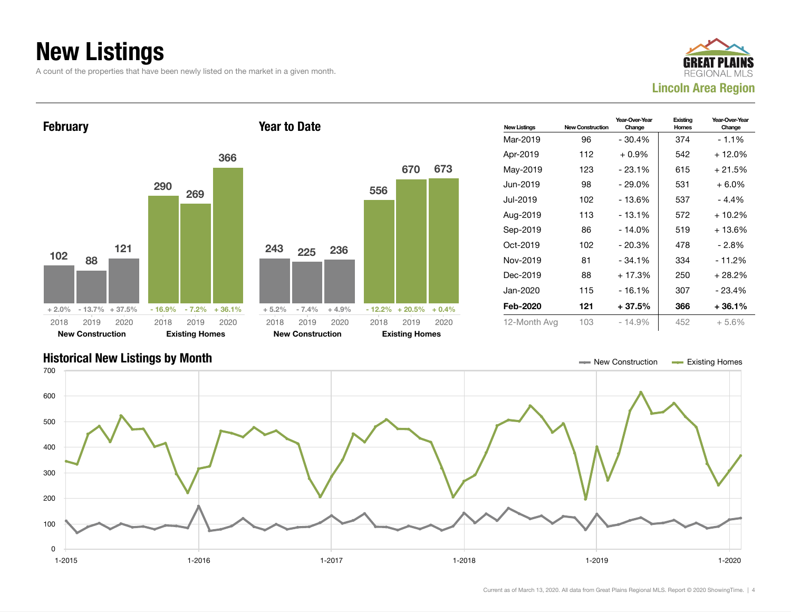## New Listings

A count of the properties that have been newly listed on the market in a given month.





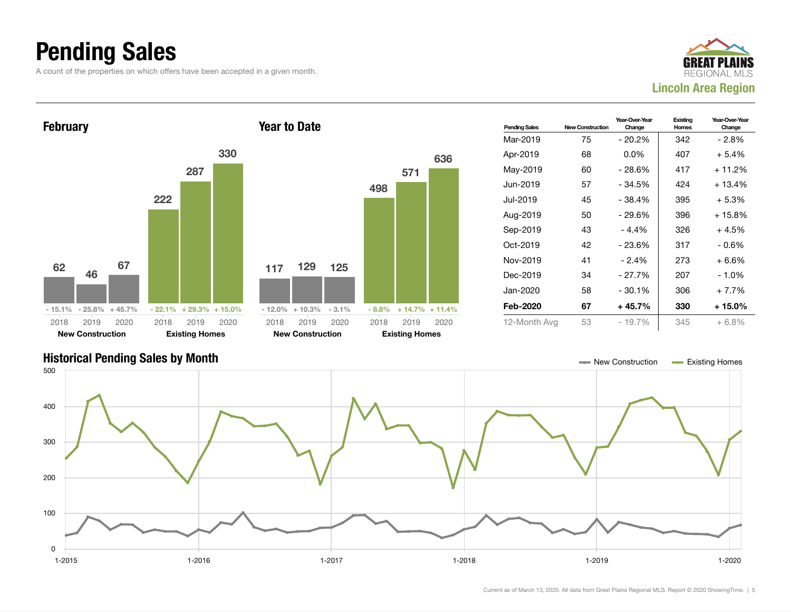#### Pending Sales

A count of the properties on which offers have been accepted in a given month.





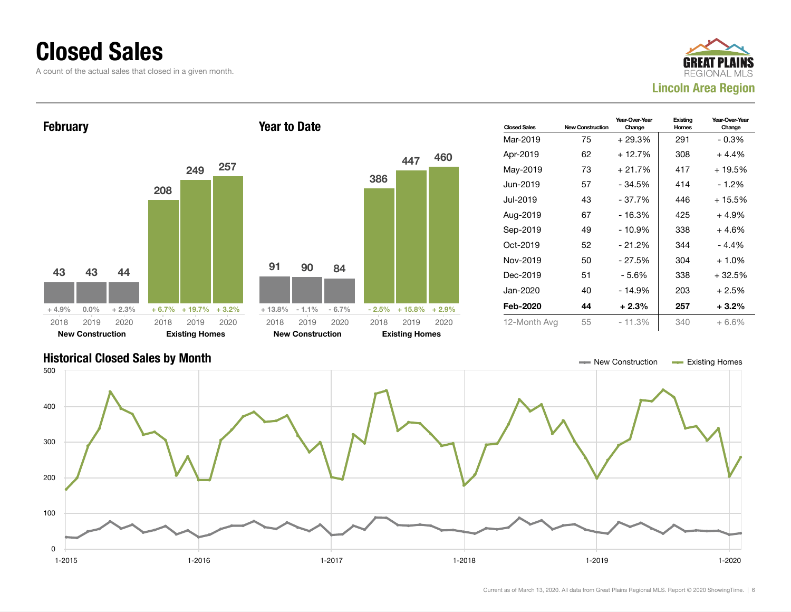#### Closed Sales

A count of the actual sales that closed in a given month.





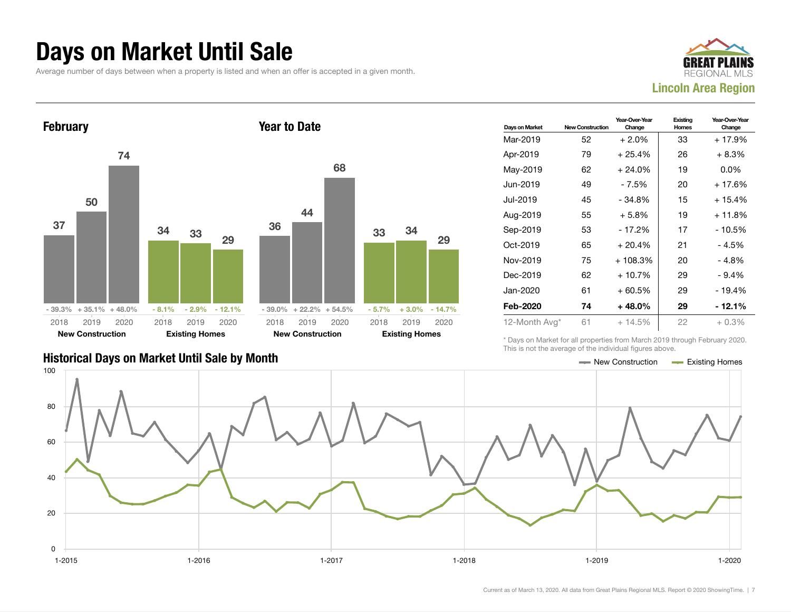#### Days on Market Until Sale

Average number of days between when a property is listed and when an offer is accepted in a given month.





| Days on Market | <b>New Construction</b> | Year-Over-Year<br>Change | Existing<br>Homes | Year-Over-Year<br>Change |
|----------------|-------------------------|--------------------------|-------------------|--------------------------|
| Mar-2019       | 52                      | $+2.0%$                  | 33                | $+17.9%$                 |
| Apr-2019       | 79                      | $+25.4%$                 | 26                | $+8.3%$                  |
| May-2019       | 62                      | $+24.0%$                 | 19                | $0.0\%$                  |
| Jun-2019       | 49                      | - 7.5%                   | 20                | + 17.6%                  |
| Jul-2019       | 45                      | $-34.8%$                 | 15                | + 15.4%                  |
| Aug-2019       | 55                      | $+5.8%$                  | 19                | + 11.8%                  |
| Sep-2019       | 53                      | $-17.2%$                 | 17                | $-10.5%$                 |
| Oct-2019       | 65                      | $+20.4%$                 | 21                | $-4.5%$                  |
| Nov-2019       | 75                      | $+108.3%$                | 20                | - 4.8%                   |
| Dec-2019       | 62                      | $+10.7%$                 | 29                | $-9.4%$                  |
| Jan-2020       | 61                      | $+60.5%$                 | 29                | $-19.4%$                 |
| Feb-2020       | 74                      | $+48.0\%$                | 29                | - 12.1%                  |
| 12-Month Avg*  | 61                      | $+14.5%$                 | 22                | $+0.3%$                  |

Historical Days on Market Until Sale by Month New York New York New York New Construction And Existing Homes

\* Days on Market for all properties from March 2019 through February 2020. This is not the average of the individual figures above.

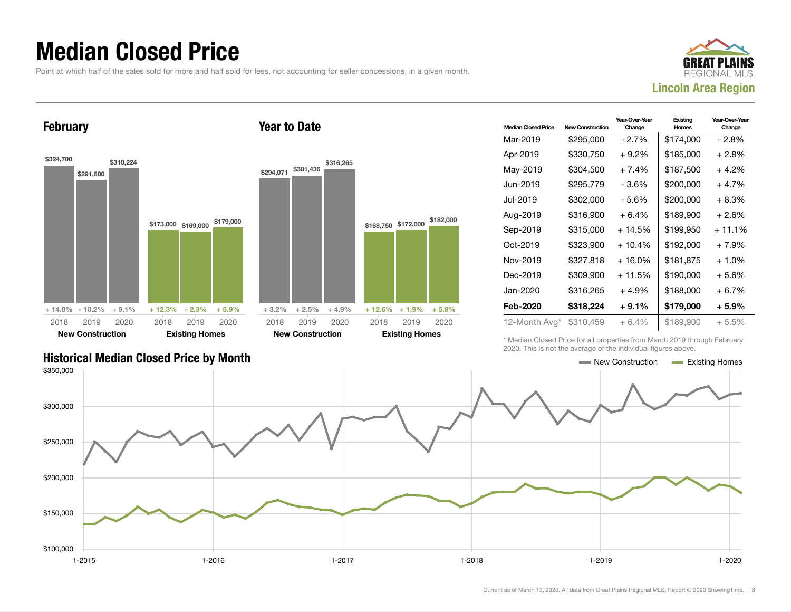#### Median Closed Price

Point at which half of the sales sold for more and half sold for less, not accounting for seller concessions, in a given month.



**February** 

\$324,700

2018



| <b>Median Closed Price</b> | <b>New Construction</b> | Year-Over-Year<br>Change | Existing<br>Homes | Year-Over-Year<br>Change |
|----------------------------|-------------------------|--------------------------|-------------------|--------------------------|
| Mar-2019                   | \$295,000               | - 2.7%                   | \$174,000         | - 2.8%                   |
| Apr-2019                   | \$330,750               | $+9.2\%$                 | \$185,000         | $+2.8%$                  |
| May-2019                   | \$304,500               | $+7.4%$                  | \$187,500         | $+4.2\%$                 |
| Jun-2019.                  | \$295,779               | - 3.6%                   | \$200,000         | $+4.7%$                  |
| Jul-2019                   | \$302,000               | - 5.6%                   | \$200,000         | $+8.3%$                  |
| Aug-2019                   | \$316,900               | $+6.4%$                  | \$189,900         | $+2.6%$                  |
| Sep-2019                   | \$315,000               | $+14.5%$                 | \$199,950         | $+11.1%$                 |
| Oct-2019                   | \$323,900               | $+10.4%$                 | \$192,000         | $+7.9%$                  |
| Nov-2019                   | \$327,818               | $+16.0\%$                | \$181,875         | $+1.0%$                  |
| Dec-2019                   | \$309.900               | $+11.5%$                 | \$190,000         | $+5.6%$                  |
| Jan-2020                   | \$316,265               | $+4.9%$                  | \$188,000         | $+6.7%$                  |
| Feb-2020                   | \$318,224               | $+9.1%$                  | \$179,000         | $+5.9\%$                 |
| 12-Month Avg*              | \$310.459               | $+6.4%$                  | \$189,900         | $+5.5%$                  |

Historical Median Closed Price by Month  $\blacksquare$ 

\* Median Closed Price for all properties from March 2019 through February 2020. This is not the average of the individual figures above.

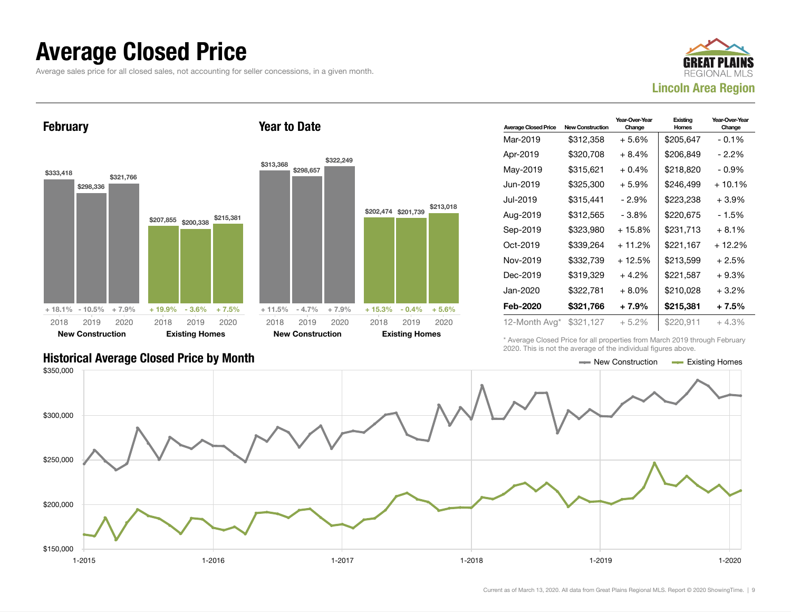#### Average Closed Price

Average sales price for all closed sales, not accounting for seller concessions, in a given month.



February





| <b>Average Closed Price</b> | <b>New Construction</b> | Year-Over-Year<br>Change | Existing<br><b>Homes</b> | Year-Over-Year<br>Change |
|-----------------------------|-------------------------|--------------------------|--------------------------|--------------------------|
| Mar-2019                    | \$312,358               | $+5.6\%$                 | \$205.647                | $-0.1\%$                 |
| Apr-2019                    | \$320,708               | $+8.4%$                  | \$206,849                | - 2.2%                   |
| May-2019                    | \$315,621               | $+0.4%$                  | \$218,820                | - 0.9%                   |
| Jun-2019                    | \$325,300               | $+5.9%$                  | \$246,499                | $+10.1%$                 |
| Jul-2019                    | \$315,441               | $-2.9%$                  | \$223,238                | $+3.9%$                  |
| Aug-2019                    | \$312,565               | - 3.8%                   | \$220,675                | - 1.5%                   |
| Sep-2019                    | \$323,980               | $+15.8%$                 | \$231,713                | $+8.1%$                  |
| Oct-2019                    | \$339.264               | $+11.2%$                 | \$221,167                | + 12.2%                  |
| Nov-2019                    | \$332,739               | + 12.5%                  | \$213,599                | $+2.5%$                  |
| Dec-2019                    | \$319,329               | $+4.2%$                  | \$221,587                | $+9.3%$                  |
| Jan-2020                    | \$322,781               | $+8.0\%$                 | \$210,028                | $+3.2%$                  |
| Feb-2020                    | \$321,766               | + 7.9%                   | \$215,381                | $+7.5%$                  |
| 12-Month Avg*               | \$321,127               | + 5.2%                   | \$220,911                | $+4.3%$                  |

\* Average Closed Price for all properties from March 2019 through February 2020. This is not the average of the individual figures above.

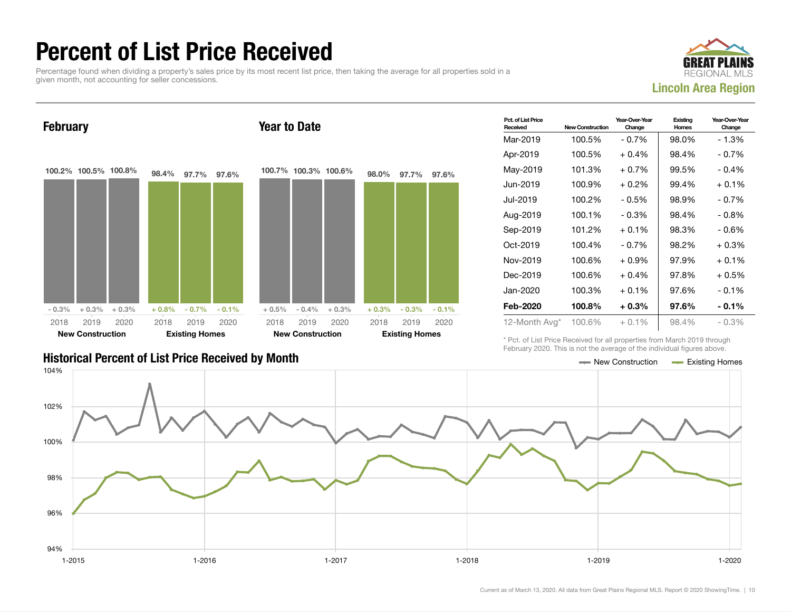#### Percent of List Price Received

Percentage found when dividing a property's sales price by its most recent list price, then taking the average for all properties sold in a given month, not accounting for seller concessions.





| — New Construction | <b>Existing Homes</b> |
|--------------------|-----------------------|
|                    |                       |

| Pct. of List Price<br>Received | <b>New Construction</b> | Year-Over-Year<br>Change | Existing<br>Homes | Year-Over-Year<br>Change |
|--------------------------------|-------------------------|--------------------------|-------------------|--------------------------|
| Mar-2019                       | 100.5%                  | $-0.7%$                  | 98.0%             | $-1.3%$                  |
| Apr-2019                       | 100.5%                  | $+0.4\%$                 | 98.4%             | $-0.7%$                  |
| May-2019                       | 101.3%                  | $+0.7%$                  | 99.5%             | $-0.4%$                  |
| Jun-2019                       | 100.9%                  | $+0.2\%$                 | 99.4%             | $+0.1\%$                 |
| Jul-2019                       | 100.2%                  | $-0.5%$                  | 98.9%             | $-0.7\%$                 |
| Aug-2019                       | 100.1%                  | $-0.3%$                  | 98.4%             | $-0.8\%$                 |
| Sep-2019                       | 101.2%                  | $+0.1%$                  | 98.3%             | $-0.6%$                  |
| Oct-2019                       | 100.4%                  | $-0.7\%$                 | 98.2%             | $+0.3%$                  |
| Nov-2019                       | 100.6%                  | $+0.9%$                  | 97.9%             | $+0.1%$                  |
| Dec-2019                       | 100.6%                  | $+0.4%$                  | 97.8%             | $+0.5%$                  |
| Jan-2020                       | 100.3%                  | $+0.1\%$                 | 97.6%             | $-0.1\%$                 |
| Feb-2020                       | 100.8%                  | $+0.3%$                  | 97.6%             | $-0.1\%$                 |
| 12-Month Avg*                  | 100.6%                  | $+0.1\%$                 | 98.4%             | $-0.3%$                  |

\* Pct. of List Price Received for all properties from March 2019 through February 2020. This is not the average of the individual figures above.

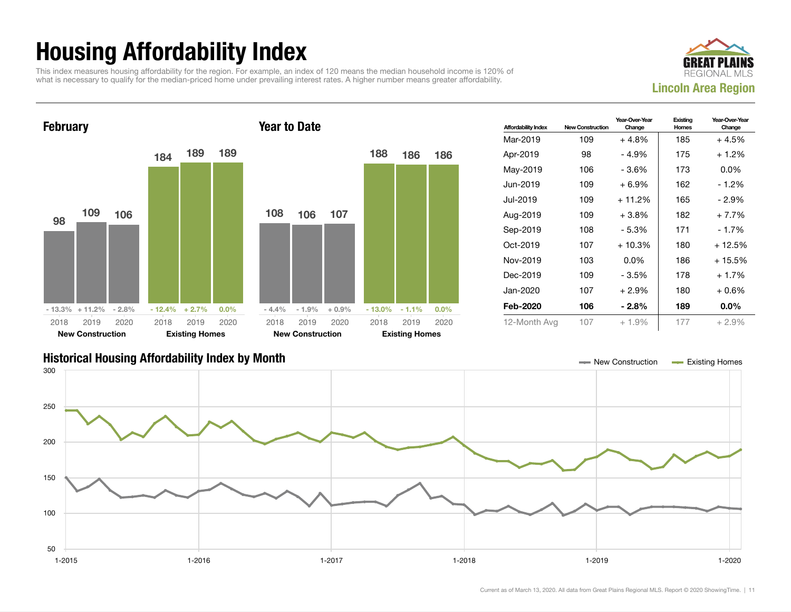## Housing Affordability Index

This index measures housing affordability for the region. For example, an index of 120 means the median household income is 120% of what is necessary to qualify for the median-priced home under prevailing interest rates. A higher number means greater affordability.





| <b>Affordability Index</b> | <b>New Construction</b> | Year-Over-Year<br>Change | Existing<br>Homes | Year-Over-Year<br>Change |
|----------------------------|-------------------------|--------------------------|-------------------|--------------------------|
| Mar-2019                   | 109                     | $+4.8%$                  | 185               | $+4.5%$                  |
| Apr-2019                   | 98                      | - 4.9%                   | 175               | $+1.2%$                  |
| May-2019                   | 106                     | - 3.6%                   | 173               | $0.0\%$                  |
| Jun-2019                   | 109                     | $+6.9%$                  | 162               | $-1.2%$                  |
| Jul-2019.                  | 109                     | $+11.2%$                 | 165               | - 2.9%                   |
| Aug-2019                   | 109                     | $+3.8%$                  | 182               | $+7.7%$                  |
| Sep-2019                   | 108                     | $-5.3%$                  | 171               | $-1.7%$                  |
| Oct-2019                   | 107                     | $+10.3%$                 | 180               | + 12.5%                  |
| Nov-2019                   | 103                     | $0.0\%$                  | 186               | + 15.5%                  |
| Dec-2019                   | 109                     | - 3.5%                   | 178               | $+1.7%$                  |
| Jan-2020                   | 107                     | $+2.9%$                  | 180               | $+0.6%$                  |
| Feb-2020                   | 106                     | $-2.8%$                  | 189               | $0.0\%$                  |
| 12-Month Avg               | 107                     | $+1.9%$                  | 177               | $+2.9%$                  |

#### Historical Housing Affordability Index by Month New Construction Existing Homes

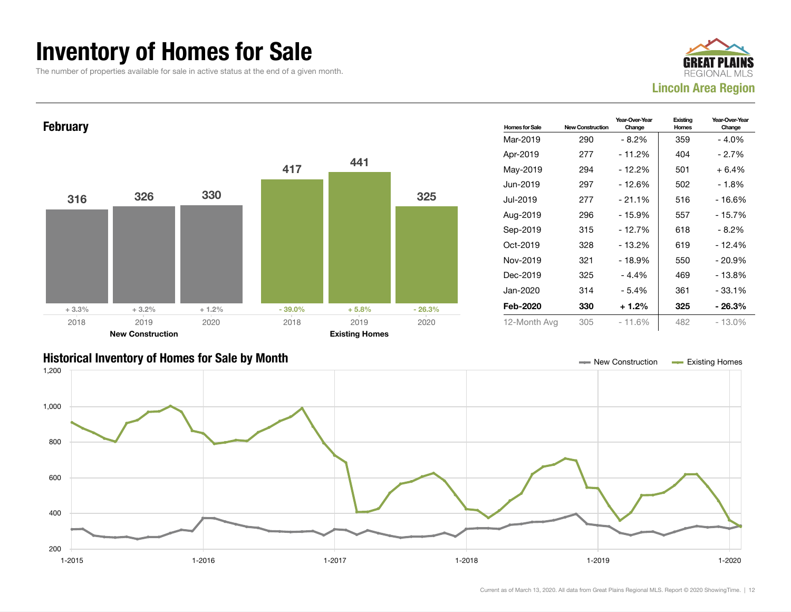#### Inventory of Homes for Sale

The number of properties available for sale in active status at the end of a given month.







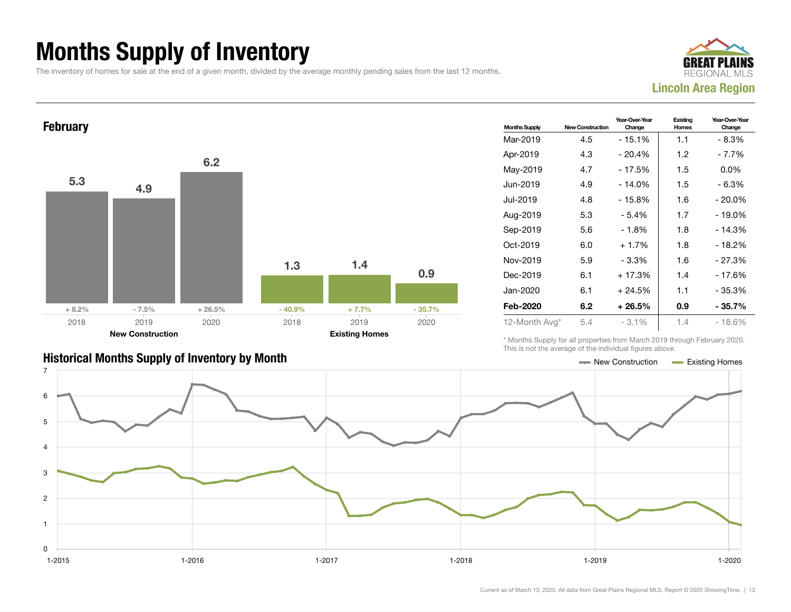## Months Supply of Inventory

The inventory of homes for sale at the end of a given month, divided by the average monthly pending sales from the last 12 months.



#### **February** 5.3 4.9 6.2  $+8.2\%$  - 7.5% + 26.5% 1.3 1.4 0.9  $-40.9\%$   $+7.7\%$   $-35.7\%$ 2018 New Construction 2019 2020 2018 Existing Homes 2019 2020

| <b>Months Supply</b> | <b>New Construction</b> | Year-Over-Year<br>Change | Existing<br>Homes | Year-Over-Year<br>Change |
|----------------------|-------------------------|--------------------------|-------------------|--------------------------|
| Mar-2019             | 4.5                     | $-15.1%$                 | 1.1               | - 8.3%                   |
| Apr-2019             | 4.3                     | $-20.4%$                 | 1.2               | - 7.7%                   |
| May-2019             | 4.7                     | - 17.5%                  | 1.5               | $0.0\%$                  |
| Jun-2019             | 4.9                     | $-14.0%$                 | 1.5               | $-6.3%$                  |
| Jul-2019             | 4.8                     | $-15.8%$                 | 1.6               | $-20.0\%$                |
| Aug-2019             | 5.3                     | - 5.4%                   | 1.7               | $-19.0\%$                |
| Sep-2019             | 5.6                     | $-1.8%$                  | 1.8               | $-14.3%$                 |
| Oct-2019             | 6.0                     | $+1.7%$                  | 1.8               | $-18.2%$                 |
| Nov-2019             | 5.9                     | - 3.3%                   | 1.6               | - 27.3%                  |
| Dec-2019             | 6.1                     | $+17.3%$                 | 1.4               | - 17.6%                  |
| Jan-2020             | 6.1                     | $+24.5%$                 | 1.1               | $-35.3%$                 |
| Feb-2020             | 6.2                     | $+26.5%$                 | 0.9               | - 35.7%                  |
| 12-Month Avg*        | 5.4                     | $-3.1\%$                 | 1.4               | $-18.6%$                 |

\* Months Supply for all properties from March 2019 through February 2020. This is not the average of the individual figures above.